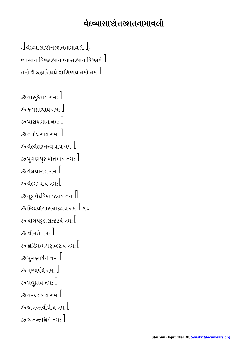## વેદયાસાોરશતનામાવલી

 $\left\{ \right\}$ વેદવ્યાસાષ્ટોત્તરશતનામાવલી  $\left\| \right\}$ વ્યાસાય વિષ્ણ્રરૂપાય વ્યાસરૂપાય વિષ્ણવે $\mathord{\mathbb I}$ નમો વૈ બ્રહ્મનિધયે વાસિષ્ઠાય નમો નમ:  $\mathbb I$ 

```
\stackrel{_\text{\tiny \text{3}}}{\tiny \text{3}}વાસુદેવાય નમ: \mathbb Iૐ જગાથાય નમઃ 
ૐ પારાશર્યાય નમ\cdot \mathbin\Vert\,ૐ તપોધનાય નમ:\, \mathbb{I} \,\mathbb Sૐ વેદવેદાક્ષતત્ત્વજ્ઞાય નમ: \mathbb Iૐ પુરાણપુરુષોત્તમાય નમ: \mathbb I\,ૐ વેદાધારાય નમ\, \cdot \, \| \,\,ૐ વેદગમ્યાય નમ:\,\,ૐમૂલવેદવિભાજકાય નમ:\,ૐ દિવ્યયોગાસનારૂઢાય નમ: \mathbb I૧૦
\,ૐ યોગપટ્ટલસત્કટયે નમ:\,ૐ શ્રીમતે નમ\cdot \parallelૐ કોટિમન્મથસુન્દરાય નમ: \mathbb I\,ૐ પુરાણાર્ષયે નમ\,:\,\mathbb{I}\,ૐ પુણ્યર્ષયે નમ: \mathbb{I} \,ૐ પ્રઘુમ્રાય નમ: \mathbb I\mathbb Sૐ વરદાયકાય નમ:\mathbb I\,ૐ અનન્તવીર્યાય નમ\, \,ૐ અનન્તશ્રિયે નમ\cdot \parallel
```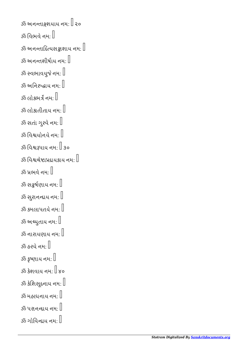```
\mathbb Sૐ અનન્તાઙ્ગશયાય નમ: \mathbb I ૨૦
ૐ વિભવે નમ:\mathbb{I}\mathbb Sૐ અનન્તાદિત્યસક્રાશાય નમ: \mathbb I\mathbb Sૐ અનન્તશીર્ષાય નમ\cdot \mathbb Iૐ સ્વભાવયુજે નમ: \mathbb Iૐ અનિરુદ્ધાય નમ: \mathbb Iૐ લોકભર્ત્ર નમ\cdot \mathbb I\stackrel{3}{\sim} લોકાતીતાય નમ: \parallel\stackrel{3}{\sim} સતાં ગુરવે નમ: \mathbb Iૐ વિશ્વયોનયે નમ: \mathbb Iૐ િવપાય નમઃ  ૩૦
ૐ વિશ્વચેષ્ટાપ્રદાયકાય નમ: \mathbin\Vert\stackrel{3}{\sim} પ્રભવે નમ: []ૐ સફૂર્ષણાય નમ: \mathbb I\stackrel{3}{\sim} સુરાનન્દાય નમ: \mathbb Iૐ કમલાપતયે નમ\cdot \mathbin\Vertૐ અય્યુતાય નમ: \mathbb I\stackrel{3}{\sim} નારાયણાય નમ: \parallel\stackrel{3}{\sim} હરયે નમ: \mathbb Iૐ કૃષ્ણાય નમ: \mathbb{I}\mathcal{X} કેશવાય નમ\cdot \mathcal{L}૪૦
ૐ કેશિસૂદનાય નમ: \mathbb{I}\mathbb Sૐ મહાધનાય નમ\cdot \mathbb I\mathbb Sૐ પરાનન્દાય નમ: \mathbb Iૐ ગોવિન્દાય નમ: \mathbb I
```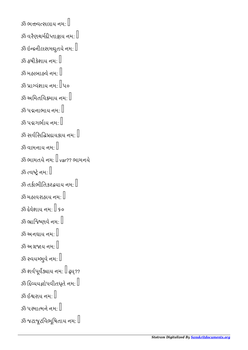```
ૐ ભત્તત્વવસલાય નમ∙ી
\, \, 3ঁঠ વરૈણચર્મદીપ્તાજ્ઞાય નમ: \,ૐ ઇન્દ્રનીલસમઘુતયે નમ: \mathbin\Vertૐ હૃષીકેશાય નમ: \mathbb{\bar{}}\mathbb Sૐ મહાબાહ્વે નમ: \mathbb Iૐ પ્રાગ્વંશાય નમ\cdotીપ૦
ૐ અમિતવિક્રમાય નમ: \mathbb{R}\stackrel{3}{\sim} પદ્મનાભાય નમ: \parallel\mathbb Sઝઁ પદ્મગર્ભાય નમ\cdot \mathbb I\,ૐ સર્વસિદ્ધિપ્રદ્યયકાય નમ: \mathbb{I}ૐ વામનાય નમ\cdot \mathbin\Vertૐ ભામતયે નમઃ  var?? ભામનયે
\stackrel{3}{\sim} ત્વષ્ટે નમ: []\tilde{\mathcal{Z}} તકીભીતિકરદયાય નમ\cdot \parallel\mathbb Sૐ મહાવરાહાય નમ: \mathbb Iૐ દેવેશાય નમઃ  ૬૦
ૐ ભ્રાજિષ્ણવે નમ: \mathbb{I}\mathcal{S}ૐ અનઘાય નમ:\mathcal{F}ૐ અગ્રજાય નમ:[]ૐ સ્વયમ્ભુવે નમ: \mathbb{I}ૐ શર્વપૂર્વેડ્યાય નમ: \mathbin{\mathbb I} ઢ્ય્??
ૐ દિવ્યયજ્ઞોપવીતધૃતે નમ: \mathbb Iૐ ઈશ્વરાય નમ: \mathbb I\stackrel{3}{\sim} પરમાત્મને નમ: \mathbb I\,ૐ જટાજૂટવિભૂષિતાય નમ:\,
```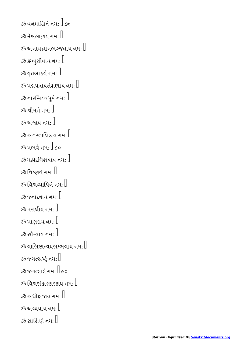```
ૐ વનમાલિને નમ: \mathord{\mathbb{R}}.90
\mathbb Sૐ મેખલાજ્ઞાય નમ: \mathbb I\mathbb Sૐ અનાદ્યજ્ઞાનભરુજનાય નમ: \mathbb Iૐ કમ્બુગ્રીવાય નમ:\mathbb I\stackrel{3}{\sim} વૃત્તબાહવે નમ: \mathbb I\,ૐ પદ્મપત્રાયતેક્ષણાય નમ: \mathbb I\mathbb Sઁ નારસિંહવપુષે નમ:\mathbb Iૐ શ્રીમતે નમ: \mathbb{I}\stackrel{3}{\sim} અજાય નમ: \stackrel{?}{\parallel}\mathbb Sૐ અનન્તાધિકાય નમ:\mathbb Iૐ પ્રભવે નમ\cdot \mathbb T૮૦
\mathbb Sૐ મહોદધિશયાય નમ\cdot \mathbb I\stackrel{3}{\sim} વિષ્ણવે નમ: \stackrel{1}{\parallel}ૐ વિશ્વવ્યાપિને નમ\cdot \parallel\mathbb{R}ૐ જનાર્દનાય નમ\colon\mathbb{R}^dૐ પરાર્ધાય નમ\cdot \mathbb{I}ૐ પ્રાણદાય નમ: \mathbb Iૐ સૌયાય નમઃ 
\,ૐ વાસિષ્ઠાન્વયસમ્ભવાય નમ:\,ૐ જગત્સ્પ્રષ્ટ્રે નમ: \mathbb Iૐ જગાે નમઃ  ૯૦
\mathbb Sઁ વિશ્વસંહારકારકાય નમ\cdot \mathbb Iૐ અધોક્ષજાય નમ:\mathbb I\mathbb Sૐ અવ્યયાય નમ: \mathbb Iૐ સાક્ષિણે નમ: \mathbin\Vert
```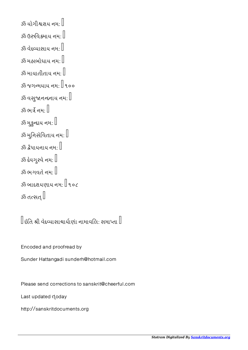```
\stackrel{3}{\sim} યોગીશ્વરાય નમ\cdot \parallelૐ ઉરુવિક્રમાય નમ: \mathbb I\mathbb{R}^3કે વેદવ્યાસાય નમ: \mathbb{R}ૐ મહાબોધાય નમઃ 
ૐ માયાતીતાય નમ:\mathbb Iૐ જગમયાય નમઃ  ૧૦૦
\,ૐ વસુ્જાનન્દનાય નમ\, \, \,ૐ ભર્ત્ર નમ: []ૐ મુકુદાય નમઃ 
ૐ મુનિસેવિતાય નમ: \mathbb I\mathbb{R}^3 કેપાયનાય નમ: \mathbb{I}\mathbb{R}^3કે દેવગુરવે નમ\colon\! \mathbb{R}^3\mathbb Sૐ ભગવતે નમ: \mathbb Iૐ બાદરાયણાય નમ: \mathbb I ૧૦૮
\stackrel{3}{\sim} તત્સત્\, \stackrel{?}{\parallel}
```
 $\mathbb I$ ઇતિ શ્રી વેદવ્યાસાચાર્યાણાં નામાવલિ: સમાપ્તા $\mathbb I$ 

Encoded and proofread by

Sunder Hattangadi sunderh@hotmail.com

Please send corrections to sanskrit@cheerful.com

Last updated doday

http://sanskritdocuments.org